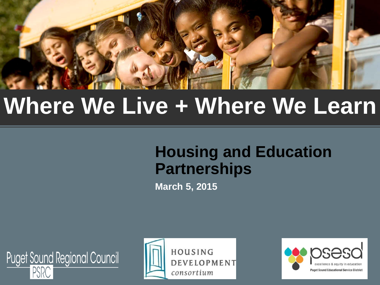

# **Where We Live + Where We Learn**

#### **Housing and Education Partnerships**

**March 5, 2015**





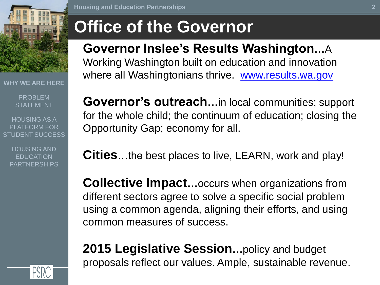

**WHY WE ARE HERE**

PROBLEM **STATEMENT** 

HOUSING AS A PLATFORM FOR STUDENT SUCCESS

HOUSING AND EDUCATION PARTNERSHIPS

### **Office of the Governor**

#### **Governor Inslee's Results Washington…**A

Working Washington built on education and innovation where all Washingtonians thrive. [www.results.wa.gov](http://www.results.wa.gov/)

**Governor's outreach…**in local communities; support for the whole child; the continuum of education; closing the Opportunity Gap; economy for all.

**Cities**…the best places to live, LEARN, work and play!

**Collective Impact…**occurs when organizations from different sectors agree to solve a specific social problem using a common agenda, aligning their efforts, and using common measures of success.

**2015 Legislative Session…**policy and budget proposals reflect our values. Ample, sustainable revenue.

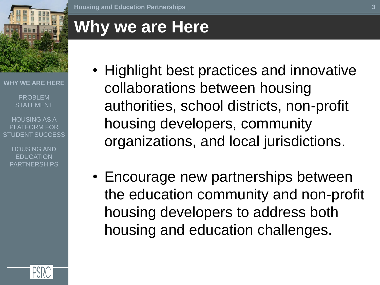

**WHY WE ARE HERE**

PROBLEM **STATEMENT** 

HOUSING AS A PLATFORM FOR STUDENT SUCCESS

> HOUSING AND EDUCATION PARTNERSHIPS

**Housing and Education Partnerships**

### **Why we are Here**

- Highlight best practices and innovative collaborations between housing authorities, school districts, non-profit housing developers, community organizations, and local jurisdictions.
- Encourage new partnerships between the education community and non-profit housing developers to address both housing and education challenges.

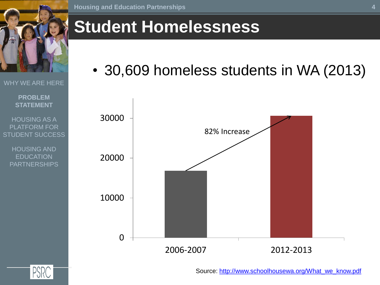

## **Student Homelessness**

• 30,609 homeless students in WA (2013)



HOUSING AS A PLATFORM FOR STUDENT SUCCESS

WHY WE ARE HERE

**PROBLEM STATEMENT**

HOUSING AND **EDUCATION** PARTNERSHIPS

Source: [http://www.schoolhousewa.org/What\\_we\\_know.pdf](http://www.schoolhousewa.org/What_we_know.pdf)

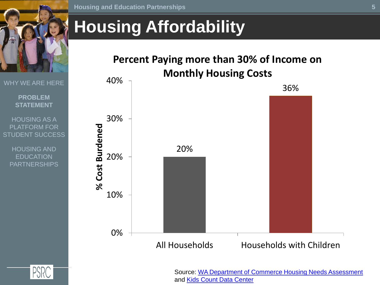

**Housing and Education Partnerships**

### **Housing Affordability**

WHY WE ARE HERE

#### **PROBLEM STATEMENT**

HOUSING AS A PLATFORM FOR STUDENT SUCCESS

HOUSING AND **EDUCATION** PARTNERSHIPS





Source: [WA Department of Commerce Housing Needs Assessment](http://www.commerce.wa.gov/Documents/Wa Housing Needs Assessment - Executive Summary.pdf)  and [Kids Count Data Center](http://datacenter.kidscount.org/data/tables/7244-children-living-in-households-with-a-high-housing-cost-burden)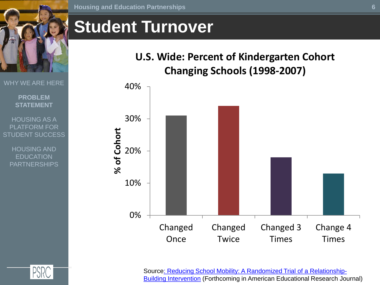

WHY WE ARE HERE

**PROBLEM STATEMENT**

HOUSING AS A PLATFORM FOR STUDENT SUCCESS

> HOUSING AND EDUCATION PARTNERSHIPS

#### **Student Turnover**

#### **U.S. Wide: Percent of Kindergarten Cohort Changing Schools (1998-2007)**





Sourc[e: Reducing School Mobility: A Randomized Trial of a Relationship-](http://www.ssc.wisc.edu/~jfiel/wp-content/uploads/2013/09/FHT-Mobility-Final-forthcoming.pdf)[Building Intervention](http://www.ssc.wisc.edu/~jfiel/wp-content/uploads/2013/09/FHT-Mobility-Final-forthcoming.pdf) (Forthcoming in American Educational Research Journal)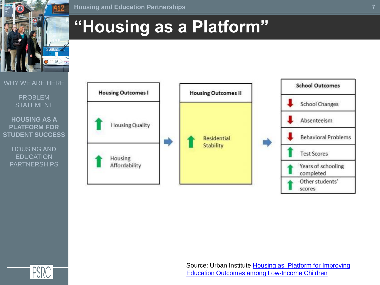

## **"Housing as a Platform"**

#### WHY WE ARE HERE

#### PROBLEM STATEMENT

#### **HOUSING AS A PLATFORM FOR STUDENT SUCCESS**

HOUSING AND **EDUCATION** PARTNERSHIPS





Source: Urban Institute [Housing as Platform for Improving](http://www.urban.org/UploadedPDF/412554-Housing-as-a-Platform-for-Improving-Education-Outcomes-among-Low-Income-Children.pdf)  [Education Outcomes among Low-Income Children](http://www.urban.org/UploadedPDF/412554-Housing-as-a-Platform-for-Improving-Education-Outcomes-among-Low-Income-Children.pdf)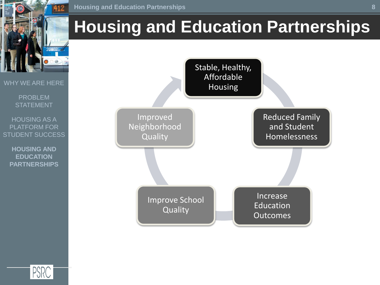

## **Housing and Education Partnerships**



PROBLEM **STATEMENT** 

WHY WE ARE HERE

HOUSING AS A PLATFORM FOR STUDENT SUCCESS

**HOUSING AND EDUCATION PARTNERSHIPS**